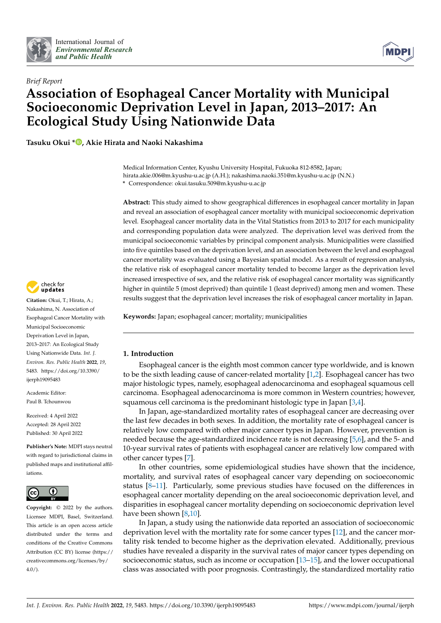



# *Brief Report* **Association of Esophageal Cancer Mortality with Municipal Socioeconomic Deprivation Level in Japan, 2013–2017: An Ecological Study Using Nationwide Data**

**Tasuku Okui \* [,](https://orcid.org/0000-0001-5098-8502) Akie Hirata and Naoki Nakashima**

Medical Information Center, Kyushu University Hospital, Fukuoka 812-8582, Japan; hirata.akie.006@m.kyushu-u.ac.jp (A.H.); nakashima.naoki.351@m.kyushu-u.ac.jp (N.N.) **\*** Correspondence: okui.tasuku.509@m.kyushu-u.ac.jp

**Abstract:** This study aimed to show geographical differences in esophageal cancer mortality in Japan and reveal an association of esophageal cancer mortality with municipal socioeconomic deprivation level. Esophageal cancer mortality data in the Vital Statistics from 2013 to 2017 for each municipality and corresponding population data were analyzed. The deprivation level was derived from the municipal socioeconomic variables by principal component analysis. Municipalities were classified into five quintiles based on the deprivation level, and an association between the level and esophageal cancer mortality was evaluated using a Bayesian spatial model. As a result of regression analysis, the relative risk of esophageal cancer mortality tended to become larger as the deprivation level increased irrespective of sex, and the relative risk of esophageal cancer mortality was significantly higher in quintile 5 (most deprived) than quintile 1 (least deprived) among men and women. These results suggest that the deprivation level increases the risk of esophageal cancer mortality in Japan.

**Keywords:** Japan; esophageal cancer; mortality; municipalities

# **1. Introduction**

Esophageal cancer is the eighth most common cancer type worldwide, and is known to be the sixth leading cause of cancer-related mortality [\[1,](#page-7-0)[2\]](#page-7-1). Esophageal cancer has two major histologic types, namely, esophageal adenocarcinoma and esophageal squamous cell carcinoma. Esophageal adenocarcinoma is more common in Western countries; however, squamous cell carcinoma is the predominant histologic type in Japan [\[3](#page-7-2)[,4\]](#page-7-3).

In Japan, age-standardized mortality rates of esophageal cancer are decreasing over the last few decades in both sexes. In addition, the mortality rate of esophageal cancer is relatively low compared with other major cancer types in Japan. However, prevention is needed because the age-standardized incidence rate is not decreasing [\[5,](#page-7-4)[6\]](#page-7-5), and the 5- and 10-year survival rates of patients with esophageal cancer are relatively low compared with other cancer types [\[7\]](#page-7-6).

In other countries, some epidemiological studies have shown that the incidence, mortality, and survival rates of esophageal cancer vary depending on socioeconomic status [\[8](#page-7-7)[–11\]](#page-7-8). Particularly, some previous studies have focused on the differences in esophageal cancer mortality depending on the areal socioeconomic deprivation level, and disparities in esophageal cancer mortality depending on socioeconomic deprivation level have been shown [\[8](#page-7-7)[,10\]](#page-7-9).

In Japan, a study using the nationwide data reported an association of socioeconomic deprivation level with the mortality rate for some cancer types [\[12\]](#page-7-10), and the cancer mortality risk tended to become higher as the deprivation elevated. Additionally, previous studies have revealed a disparity in the survival rates of major cancer types depending on socioeconomic status, such as income or occupation [\[13–](#page-7-11)[15\]](#page-7-12), and the lower occupational class was associated with poor prognosis. Contrastingly, the standardized mortality ratio



**Citation:** Okui, T.; Hirata, A.; Nakashima, N. Association of Esophageal Cancer Mortality with Municipal Socioeconomic Deprivation Level in Japan, 2013–2017: An Ecological Study Using Nationwide Data. *Int. J. Environ. Res. Public Health* **2022**, *19*, 5483. [https://doi.org/10.3390/](https://doi.org/10.3390/ijerph19095483) [ijerph19095483](https://doi.org/10.3390/ijerph19095483)

Academic Editor: Paul B. Tchounwou

Received: 4 April 2022 Accepted: 28 April 2022 Published: 30 April 2022

**Publisher's Note:** MDPI stays neutral with regard to jurisdictional claims in published maps and institutional affiliations.



**Copyright:** © 2022 by the authors. Licensee MDPI, Basel, Switzerland. This article is an open access article distributed under the terms and conditions of the Creative Commons Attribution (CC BY) license [\(https://](https://creativecommons.org/licenses/by/4.0/) [creativecommons.org/licenses/by/](https://creativecommons.org/licenses/by/4.0/)  $4.0/$ ).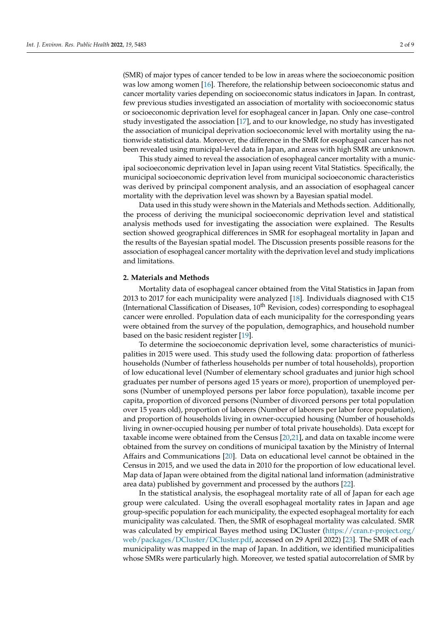(SMR) of major types of cancer tended to be low in areas where the socioeconomic position was low among women [\[16\]](#page-7-13). Therefore, the relationship between socioeconomic status and cancer mortality varies depending on socioeconomic status indicators in Japan. In contrast, few previous studies investigated an association of mortality with socioeconomic status or socioeconomic deprivation level for esophageal cancer in Japan. Only one case–control study investigated the association [\[17\]](#page-7-14), and to our knowledge, no study has investigated the association of municipal deprivation socioeconomic level with mortality using the nationwide statistical data. Moreover, the difference in the SMR for esophageal cancer has not been revealed using municipal-level data in Japan, and areas with high SMR are unknown.

This study aimed to reveal the association of esophageal cancer mortality with a municipal socioeconomic deprivation level in Japan using recent Vital Statistics. Specifically, the municipal socioeconomic deprivation level from municipal socioeconomic characteristics was derived by principal component analysis, and an association of esophageal cancer mortality with the deprivation level was shown by a Bayesian spatial model.

Data used in this study were shown in the Materials and Methods section. Additionally, the process of deriving the municipal socioeconomic deprivation level and statistical analysis methods used for investigating the association were explained. The Results section showed geographical differences in SMR for esophageal mortality in Japan and the results of the Bayesian spatial model. The Discussion presents possible reasons for the association of esophageal cancer mortality with the deprivation level and study implications and limitations.

## **2. Materials and Methods**

Mortality data of esophageal cancer obtained from the Vital Statistics in Japan from 2013 to 2017 for each municipality were analyzed [\[18\]](#page-7-15). Individuals diagnosed with C15 (International Classification of Diseases,  $10<sup>th</sup>$  Revision, codes) corresponding to esophageal cancer were enrolled. Population data of each municipality for the corresponding years were obtained from the survey of the population, demographics, and household number based on the basic resident register [\[19\]](#page-7-16).

To determine the socioeconomic deprivation level, some characteristics of municipalities in 2015 were used. This study used the following data: proportion of fatherless households (Number of fatherless households per number of total households), proportion of low educational level (Number of elementary school graduates and junior high school graduates per number of persons aged 15 years or more), proportion of unemployed persons (Number of unemployed persons per labor force population), taxable income per capita, proportion of divorced persons (Number of divorced persons per total population over 15 years old), proportion of laborers (Number of laborers per labor force population), and proportion of households living in owner-occupied housing (Number of households living in owner-occupied housing per number of total private households). Data except for taxable income were obtained from the Census [\[20](#page-7-17)[,21\]](#page-7-18), and data on taxable income were obtained from the survey on conditions of municipal taxation by the Ministry of Internal Affairs and Communications [\[20\]](#page-7-17). Data on educational level cannot be obtained in the Census in 2015, and we used the data in 2010 for the proportion of low educational level. Map data of Japan were obtained from the digital national land information (administrative area data) published by government and processed by the authors [\[22\]](#page-7-19).

In the statistical analysis, the esophageal mortality rate of all of Japan for each age group were calculated. Using the overall esophageal mortality rates in Japan and age group-specific population for each municipality, the expected esophageal mortality for each municipality was calculated. Then, the SMR of esophageal mortality was calculated. SMR was calculated by empirical Bayes method using DCluster [\(https://cran.r-project.org/](https://cran.r-project.org/web/packages/DCluster/DCluster.pdf) [web/packages/DCluster/DCluster.pdf,](https://cran.r-project.org/web/packages/DCluster/DCluster.pdf) accessed on 29 April 2022) [\[23\]](#page-7-20). The SMR of each municipality was mapped in the map of Japan. In addition, we identified municipalities whose SMRs were particularly high. Moreover, we tested spatial autocorrelation of SMR by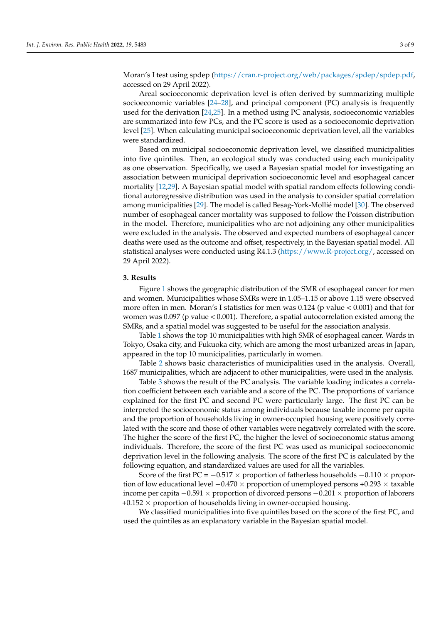Moran's I test using spdep [\(https://cran.r-project.org/web/packages/spdep/spdep.pdf,](https://cran.r-project.org/web/packages/spdep/spdep.pdf) accessed on 29 April 2022).

Areal socioeconomic deprivation level is often derived by summarizing multiple socioeconomic variables [\[24–](#page-7-21)[28\]](#page-8-0), and principal component (PC) analysis is frequently used for the derivation [\[24,](#page-7-21)[25\]](#page-8-1). In a method using PC analysis, socioeconomic variables are summarized into few PCs, and the PC score is used as a socioeconomic deprivation level [\[25\]](#page-8-1). When calculating municipal socioeconomic deprivation level, all the variables were standardized.

Based on municipal socioeconomic deprivation level, we classified municipalities into five quintiles. Then, an ecological study was conducted using each municipality as one observation. Specifically, we used a Bayesian spatial model for investigating an association between municipal deprivation socioeconomic level and esophageal cancer mortality [\[12,](#page-7-10)[29\]](#page-8-2). A Bayesian spatial model with spatial random effects following conditional autoregressive distribution was used in the analysis to consider spatial correlation among municipalities [\[29\]](#page-8-2). The model is called Besag-York-Mollié model [\[30\]](#page-8-3). The observed number of esophageal cancer mortality was supposed to follow the Poisson distribution in the model. Therefore, municipalities who are not adjoining any other municipalities were excluded in the analysis. The observed and expected numbers of esophageal cancer deaths were used as the outcome and offset, respectively, in the Bayesian spatial model. All statistical analyses were conducted using R4.1.3 [\(https://www.R-project.org/,](https://www.R-project.org/) accessed on 29 April 2022).

## **3. Results**

Figure [1](#page-3-0) shows the geographic distribution of the SMR of esophageal cancer for men and women. Municipalities whose SMRs were in 1.05–1.15 or above 1.15 were observed more often in men. Moran's I statistics for men was 0.124 (p value < 0.001) and that for women was 0.097 (p value < 0.001). Therefore, a spatial autocorrelation existed among the SMRs, and a spatial model was suggested to be useful for the association analysis.

Table [1](#page-4-0) shows the top 10 municipalities with high SMR of esophageal cancer. Wards in Tokyo, Osaka city, and Fukuoka city, which are among the most urbanized areas in Japan, appeared in the top 10 municipalities, particularly in women.

Table [2](#page-4-1) shows basic characteristics of municipalities used in the analysis. Overall, 1687 municipalities, which are adjacent to other municipalities, were used in the analysis.

Table [3](#page-4-2) shows the result of the PC analysis. The variable loading indicates a correlation coefficient between each variable and a score of the PC. The proportions of variance explained for the first PC and second PC were particularly large. The first PC can be interpreted the socioeconomic status among individuals because taxable income per capita and the proportion of households living in owner-occupied housing were positively correlated with the score and those of other variables were negatively correlated with the score. The higher the score of the first PC, the higher the level of socioeconomic status among individuals. Therefore, the score of the first PC was used as municipal socioeconomic deprivation level in the following analysis. The score of the first PC is calculated by the following equation, and standardized values are used for all the variables.

Score of the first PC =  $-0.517 \times$  proportion of fatherless households  $-0.110 \times$  proportion of low educational level −0.470 × proportion of unemployed persons +0.293 × taxable income per capita  $-0.591 \times$  proportion of divorced persons  $-0.201 \times$  proportion of laborers  $+0.152 \times$  proportion of households living in owner-occupied housing.

We classified municipalities into five quintiles based on the score of the first PC, and used the quintiles as an explanatory variable in the Bayesian spatial model.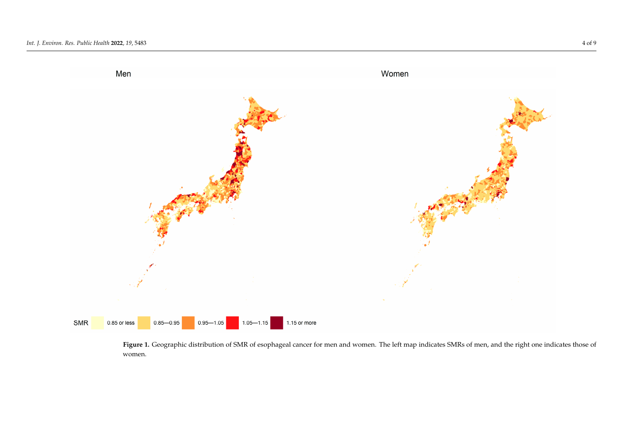

<span id="page-3-0"></span>Figure 1. **Geographic distribution of SMR of SMR of SMRS of SMRS of Geographic map indicates SMRS of mental cancer for men and the right one indicates**  $\mathcal{F}$  **mental cancer those of women. The right one indicates those of Figure 1.** Geographic distribution of SMR of esophageal cancer for men and women. The left map indicates SMRs of men, and the right one indicates those of women.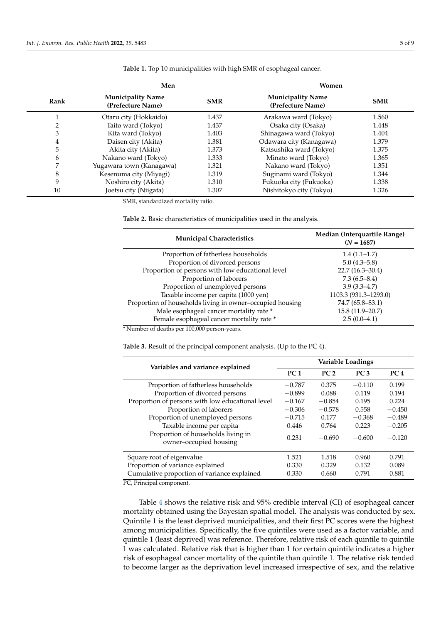| Rank | Men                                           |            | Women                                         |            |
|------|-----------------------------------------------|------------|-----------------------------------------------|------------|
|      | <b>Municipality Name</b><br>(Prefecture Name) | <b>SMR</b> | <b>Municipality Name</b><br>(Prefecture Name) | <b>SMR</b> |
|      | Otaru city (Hokkaido)                         | 1.437      | Arakawa ward (Tokyo)                          | 1.560      |
|      | Taito ward (Tokyo)                            | 1.437      | Osaka city (Osaka)                            | 1.448      |
| 3    | Kita ward (Tokyo)                             | 1.403      | Shinagawa ward (Tokyo)                        | 1.404      |
| 4    | Daisen city (Akita)                           | 1.381      | Odawara city (Kanagawa)                       | 1.379      |
| 5    | Akita city (Akita)                            | 1.373      | Katsushika ward (Tokyo)                       | 1.375      |
| 6    | Nakano ward (Tokyo)                           | 1.333      | Minato ward (Tokyo)                           | 1.365      |
| 7    | Yugawara town (Kanagawa)                      | 1.321      | Nakano ward (Tokyo)                           | 1.351      |
| 8    | Kesenuma city (Miyagi)                        | 1.319      | Suginami ward (Tokyo)                         | 1.344      |
| 9    | Noshiro city (Akita)                          | 1.310      | Fukuoka city (Fukuoka)                        | 1.338      |
| 10   | Joetsu city (Niigata)                         | 1.307      | Nishitokyo city (Tokyo)                       | 1.326      |

<span id="page-4-0"></span>**Table 1.** Top 10 municipalities with high SMR of esophageal cancer.

SMR, standardized mortality ratio.

#### <span id="page-4-1"></span>**Table 2.** Basic characteristics of municipalities used in the analysis.

| <b>Municipal Characteristics</b>                          | Median (Interquartile Range)<br>$(N = 1687)$ |
|-----------------------------------------------------------|----------------------------------------------|
| Proportion of fatherless households                       | $1.4(1.1-1.7)$                               |
| Proportion of divorced persons                            | $5.0(4.3-5.8)$                               |
| Proportion of persons with low educational level          | $22.7(16.3 - 30.4)$                          |
| Proportion of laborers                                    | 7.3(6.5–8.4)                                 |
| Proportion of unemployed persons                          | $3.9(3.3 - 4.7)$                             |
| Taxable income per capita (1000 yen)                      | 1103.3 (931.3-1293.0)                        |
| Proportion of households living in owner-occupied housing | 74.7 (65.8–83.1)                             |
| Male esophageal cancer mortality rate*                    | 15.8 (11.9-20.7)                             |
| Female esophageal cancer mortality rate *                 | $2.5(0.0-4.1)$                               |

\* Number of deaths per 100,000 person-years.

<span id="page-4-2"></span>**Table 3.** Result of the principal component analysis. (Up to the PC 4).

| Variables and variance explained                             | Variable Loadings |                 |                 |                 |
|--------------------------------------------------------------|-------------------|-----------------|-----------------|-----------------|
|                                                              | PC <sub>1</sub>   | PC <sub>2</sub> | PC <sub>3</sub> | PC <sub>4</sub> |
| Proportion of fatherless households                          | $-0.787$          | 0.375           | $-0.110$        | 0.199           |
| Proportion of divorced persons                               | $-0.899$          | 0.088           | 0.119           | 0.194           |
| Proportion of persons with low educational level             | $-0.167$          | $-0.854$        | 0.195           | 0.224           |
| Proportion of laborers                                       | $-0.306$          | $-0.578$        | 0.558           | $-0.450$        |
| Proportion of unemployed persons                             | $-0.715$          | 0.177           | $-0.368$        | $-0.489$        |
| Taxable income per capita                                    | 0.446             | 0.764           | 0.223           | $-0.205$        |
| Proportion of households living in<br>owner-occupied housing | 0.231             | $-0.690$        | $-0.600$        | $-0.120$        |
| Square root of eigenvalue                                    | 1.521             | 1.518           | 0.960           | 0.791           |
| Proportion of variance explained                             | 0.330             | 0.329           | 0.132           | 0.089           |
| Cumulative proportion of variance explained                  | 0.330             | 0.660           | 0.791           | 0.881           |

PC, Principal component.

Table [4](#page-5-0) shows the relative risk and 95% credible interval (CI) of esophageal cancer mortality obtained using the Bayesian spatial model. The analysis was conducted by sex. Quintile 1 is the least deprived municipalities, and their first PC scores were the highest among municipalities. Specifically, the five quintiles were used as a factor variable, and quintile 1 (least deprived) was reference. Therefore, relative risk of each quintile to quintile 1 was calculated. Relative risk that is higher than 1 for certain quintile indicates a higher risk of esophageal cancer mortality of the quintile than quintile 1. The relative risk tended to become larger as the deprivation level increased irrespective of sex, and the relative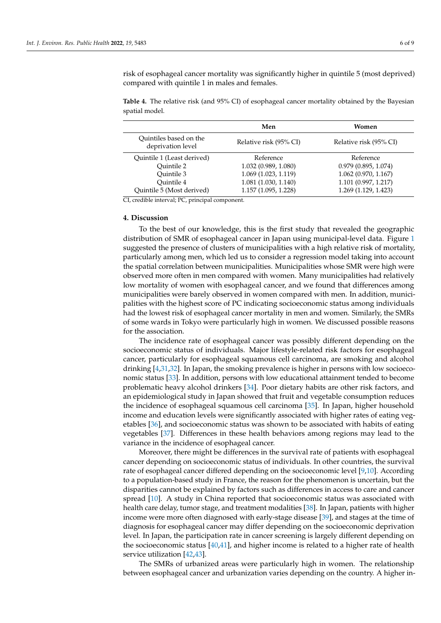risk of esophageal cancer mortality was significantly higher in quintile 5 (most deprived) compared with quintile 1 in males and females.

<span id="page-5-0"></span>**Table 4.** The relative risk (and 95% CI) of esophageal cancer mortality obtained by the Bayesian spatial model.

|                                             | Men                    | Women                  |  |
|---------------------------------------------|------------------------|------------------------|--|
| Quintiles based on the<br>deprivation level | Relative risk (95% CI) | Relative risk (95% CI) |  |
| Quintile 1 (Least derived)                  | Reference              | Reference              |  |
| Ouintile 2                                  | 1.032 (0.989, 1.080)   | 0.979(0.895, 1.074)    |  |
| Ouintile 3                                  | 1.069 (1.023, 1.119)   | $1.062$ (0.970, 1.167) |  |
| Ouintile 4                                  | 1.081 (1.030, 1.140)   | 1.101(0.997, 1.217)    |  |
| Quintile 5 (Most derived)                   | 1.157 (1.095, 1.228)   | 1.269 (1.129, 1.423)   |  |

CI, credible interval; PC, principal component.

## **4. Discussion**

To the best of our knowledge, this is the first study that revealed the geographic distribution of SMR of esophageal cancer in Japan using municipal-level data. Figure [1](#page-3-0) suggested the presence of clusters of municipalities with a high relative risk of mortality, particularly among men, which led us to consider a regression model taking into account the spatial correlation between municipalities. Municipalities whose SMR were high were observed more often in men compared with women. Many municipalities had relatively low mortality of women with esophageal cancer, and we found that differences among municipalities were barely observed in women compared with men. In addition, municipalities with the highest score of PC indicating socioeconomic status among individuals had the lowest risk of esophageal cancer mortality in men and women. Similarly, the SMRs of some wards in Tokyo were particularly high in women. We discussed possible reasons for the association.

The incidence rate of esophageal cancer was possibly different depending on the socioeconomic status of individuals. Major lifestyle-related risk factors for esophageal cancer, particularly for esophageal squamous cell carcinoma, are smoking and alcohol drinking [\[4,](#page-7-3)[31,](#page-8-4)[32\]](#page-8-5). In Japan, the smoking prevalence is higher in persons with low socioeconomic status [\[33\]](#page-8-6). In addition, persons with low educational attainment tended to become problematic heavy alcohol drinkers [\[34\]](#page-8-7). Poor dietary habits are other risk factors, and an epidemiological study in Japan showed that fruit and vegetable consumption reduces the incidence of esophageal squamous cell carcinoma [\[35\]](#page-8-8). In Japan, higher household income and education levels were significantly associated with higher rates of eating vegetables [\[36\]](#page-8-9), and socioeconomic status was shown to be associated with habits of eating vegetables [\[37\]](#page-8-10). Differences in these health behaviors among regions may lead to the variance in the incidence of esophageal cancer.

Moreover, there might be differences in the survival rate of patients with esophageal cancer depending on socioeconomic status of individuals. In other countries, the survival rate of esophageal cancer differed depending on the socioeconomic level [\[9](#page-7-22)[,10\]](#page-7-9). According to a population-based study in France, the reason for the phenomenon is uncertain, but the disparities cannot be explained by factors such as differences in access to care and cancer spread [\[10\]](#page-7-9). A study in China reported that socioeconomic status was associated with health care delay, tumor stage, and treatment modalities [\[38\]](#page-8-11). In Japan, patients with higher income were more often diagnosed with early-stage disease [\[39\]](#page-8-12), and stages at the time of diagnosis for esophageal cancer may differ depending on the socioeconomic deprivation level. In Japan, the participation rate in cancer screening is largely different depending on the socioeconomic status  $[40,41]$  $[40,41]$ , and higher income is related to a higher rate of health service utilization [\[42,](#page-8-15)[43\]](#page-8-16).

The SMRs of urbanized areas were particularly high in women. The relationship between esophageal cancer and urbanization varies depending on the country. A higher in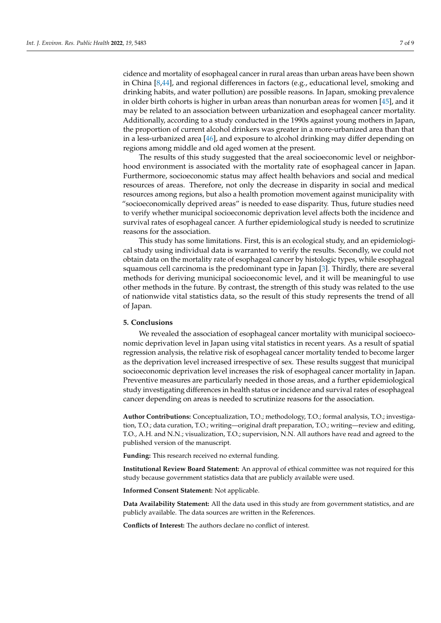cidence and mortality of esophageal cancer in rural areas than urban areas have been shown in China [\[8](#page-7-7)[,44\]](#page-8-17), and regional differences in factors (e.g., educational level, smoking and drinking habits, and water pollution) are possible reasons. In Japan, smoking prevalence in older birth cohorts is higher in urban areas than nonurban areas for women [\[45\]](#page-8-18), and it may be related to an association between urbanization and esophageal cancer mortality. Additionally, according to a study conducted in the 1990s against young mothers in Japan, the proportion of current alcohol drinkers was greater in a more-urbanized area than that in a less-urbanized area [\[46\]](#page-8-19), and exposure to alcohol drinking may differ depending on regions among middle and old aged women at the present.

The results of this study suggested that the areal socioeconomic level or neighborhood environment is associated with the mortality rate of esophageal cancer in Japan. Furthermore, socioeconomic status may affect health behaviors and social and medical resources of areas. Therefore, not only the decrease in disparity in social and medical resources among regions, but also a health promotion movement against municipality with "socioeconomically deprived areas" is needed to ease disparity. Thus, future studies need to verify whether municipal socioeconomic deprivation level affects both the incidence and survival rates of esophageal cancer. A further epidemiological study is needed to scrutinize reasons for the association.

This study has some limitations. First, this is an ecological study, and an epidemiological study using individual data is warranted to verify the results. Secondly, we could not obtain data on the mortality rate of esophageal cancer by histologic types, while esophageal squamous cell carcinoma is the predominant type in Japan [\[3\]](#page-7-2). Thirdly, there are several methods for deriving municipal socioeconomic level, and it will be meaningful to use other methods in the future. By contrast, the strength of this study was related to the use of nationwide vital statistics data, so the result of this study represents the trend of all of Japan.

## **5. Conclusions**

We revealed the association of esophageal cancer mortality with municipal socioeconomic deprivation level in Japan using vital statistics in recent years. As a result of spatial regression analysis, the relative risk of esophageal cancer mortality tended to become larger as the deprivation level increased irrespective of sex. These results suggest that municipal socioeconomic deprivation level increases the risk of esophageal cancer mortality in Japan. Preventive measures are particularly needed in those areas, and a further epidemiological study investigating differences in health status or incidence and survival rates of esophageal cancer depending on areas is needed to scrutinize reasons for the association.

**Author Contributions:** Conceptualization, T.O.; methodology, T.O.; formal analysis, T.O.; investigation, T.O.; data curation, T.O.; writing—original draft preparation, T.O.; writing—review and editing, T.O., A.H. and N.N.; visualization, T.O.; supervision, N.N. All authors have read and agreed to the published version of the manuscript.

**Funding:** This research received no external funding.

**Institutional Review Board Statement:** An approval of ethical committee was not required for this study because government statistics data that are publicly available were used.

**Informed Consent Statement:** Not applicable.

**Data Availability Statement:** All the data used in this study are from government statistics, and are publicly available. The data sources are written in the References.

**Conflicts of Interest:** The authors declare no conflict of interest.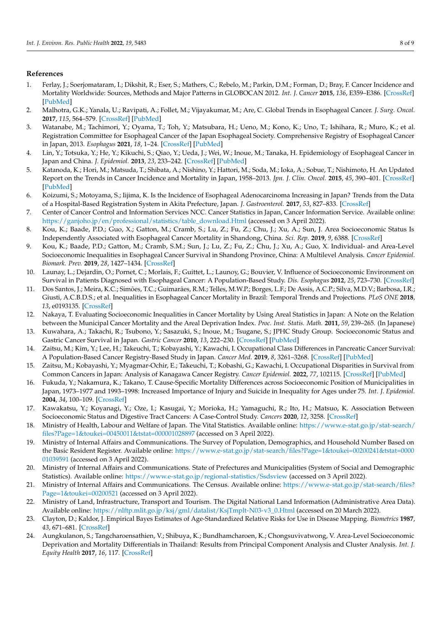## **References**

- <span id="page-7-0"></span>1. Ferlay, J.; Soerjomataram, I.; Dikshit, R.; Eser, S.; Mathers, C.; Rebelo, M.; Parkin, D.M.; Forman, D.; Bray, F. Cancer Incidence and Mortality Worldwide: Sources, Methods and Major Patterns in GLOBOCAN 2012. *Int. J. Cancer* **2015**, *136*, E359–E386. [\[CrossRef\]](http://doi.org/10.1002/ijc.29210) [\[PubMed\]](http://www.ncbi.nlm.nih.gov/pubmed/25220842)
- <span id="page-7-1"></span>2. Malhotra, G.K.; Yanala, U.; Ravipati, A.; Follet, M.; Vijayakumar, M.; Are, C. Global Trends in Esophageal Cancer. *J. Surg. Oncol.* **2017**, *115*, 564–579. [\[CrossRef\]](http://doi.org/10.1002/jso.24592) [\[PubMed\]](http://www.ncbi.nlm.nih.gov/pubmed/28320055)
- <span id="page-7-2"></span>3. Watanabe, M.; Tachimori, Y.; Oyama, T.; Toh, Y.; Matsubara, H.; Ueno, M.; Kono, K.; Uno, T.; Ishihara, R.; Muro, K.; et al. Registration Committee for Esophageal Cancer of the Japan Esophageal Society. Comprehensive Registry of Esophageal Cancer in Japan, 2013. *Esophagus* **2021**, *18*, 1–24. [\[CrossRef\]](http://doi.org/10.1007/s10388-020-00785-y) [\[PubMed\]](http://www.ncbi.nlm.nih.gov/pubmed/33047261)
- <span id="page-7-3"></span>4. Lin, Y.; Totsuka, Y.; He, Y.; Kikuchi, S.; Qiao, Y.; Ueda, J.; Wei, W.; Inoue, M.; Tanaka, H. Epidemiology of Esophageal Cancer in Japan and China. *J. Epidemiol.* **2013**, *23*, 233–242. [\[CrossRef\]](http://doi.org/10.2188/jea.JE20120162) [\[PubMed\]](http://www.ncbi.nlm.nih.gov/pubmed/23629646)
- <span id="page-7-4"></span>5. Katanoda, K.; Hori, M.; Matsuda, T.; Shibata, A.; Nishino, Y.; Hattori, M.; Soda, M.; Ioka, A.; Sobue, T.; Nishimoto, H. An Updated Report on the Trends in Cancer Incidence and Mortality in Japan, 1958–2013. *Jpn. J. Clin. Oncol.* **2015**, *45*, 390–401. [\[CrossRef\]](http://doi.org/10.1093/jjco/hyv002) [\[PubMed\]](http://www.ncbi.nlm.nih.gov/pubmed/25637502)
- <span id="page-7-5"></span>6. Koizumi, S.; Motoyama, S.; Iijima, K. Is the Incidence of Esophageal Adenocarcinoma Increasing in Japan? Trends from the Data of a Hospital-Based Registration System in Akita Prefecture, Japan. *J. Gastroenterol.* **2017**, *53*, 827–833. [\[CrossRef\]](http://doi.org/10.1007/s00535-017-1412-4)
- <span id="page-7-6"></span>7. Center of Cancer Control and Information Services NCC. Cancer Statistics in Japan, Cancer Information Service. Available online: [https://ganjoho.jp/en/professional/statistics/table\\_download.Html](https://ganjoho.jp/en/professional/statistics/table_download.Html) (accessed on 3 April 2022).
- <span id="page-7-7"></span>8. Kou, K.; Baade, P.D.; Guo, X.; Gatton, M.; Cramb, S.; Lu, Z.; Fu, Z.; Chu, J.; Xu, A.; Sun, J. Area Socioeconomic Status Is Independently Associated with Esophageal Cancer Mortality in Shandong, China. *Sci. Rep.* **2019**, *9*, 6388. [\[CrossRef\]](http://doi.org/10.1038/s41598-019-42774-x)
- <span id="page-7-22"></span>9. Kou, K.; Baade, P.D.; Gatton, M.; Cramb, S.M.; Sun, J.; Lu, Z.; Fu, Z.; Chu, J.; Xu, A.; Guo, X. Individual- and Area-Level Socioeconomic Inequalities in Esophageal Cancer Survival in Shandong Province, China: A Multilevel Analysis. *Cancer Epidemiol. Biomark. Prev.* **2019**, *28*, 1427–1434. [\[CrossRef\]](http://doi.org/10.1158/1055-9965.EPI-19-0203)
- <span id="page-7-9"></span>10. Launay, L.; Dejardin, O.; Pornet, C.; Morlais, F.; Guittet, L.; Launoy, G.; Bouvier, V. Influence of Socioeconomic Environment on Survival in Patients Diagnosed with Esophageal Cancer: A Population-Based Study. *Dis. Esophagus* **2012**, *25*, 723–730. [\[CrossRef\]](http://doi.org/10.1111/j.1442-2050.2011.01312.x)
- <span id="page-7-8"></span>11. Dos Santos, J.; Meira, K.C.; Simões, T.C.; Guimarães, R.M.; Telles, M.W.P.; Borges, L.F.; De Assis, A.C.P.; Silva, M.D.V.; Barbosa, I.R.; Giusti, A.C.B.D.S.; et al. Inequalities in Esophageal Cancer Mortality in Brazil: Temporal Trends and Projections. *PLoS ONE* **2018**, *13*, e0193135. [\[CrossRef\]](http://doi.org/10.1371/journal.pone.0193135)
- <span id="page-7-10"></span>12. Nakaya, T. Evaluating Socioeconomic Inequalities in Cancer Mortality by Using Areal Statistics in Japan: A Note on the Relation between the Municipal Cancer Mortality and the Areal Deprivation Index. *Proc. Inst. Statis. Math.* **2011**, *59*, 239–265. (In Japanese)
- <span id="page-7-11"></span>13. Kuwahara, A.; Takachi, R.; Tsubono, Y.; Sasazuki, S.; Inoue, M.; Tsugane, S.; JPHC Study Group. Socioeconomic Status and Gastric Cancer Survival in Japan. *Gastric Cancer* **2010**, *13*, 222–230. [\[CrossRef\]](http://doi.org/10.1007/s10120-010-0561-4) [\[PubMed\]](http://www.ncbi.nlm.nih.gov/pubmed/21128057)
- 14. Zaitsu, M.; Kim, Y.; Lee, H.; Takeuchi, T.; Kobayashi, Y.; Kawachi, I. Occupational Class Differences in Pancreatic Cancer Survival: A Population-Based Cancer Registry-Based Study in Japan. *Cancer Med.* **2019**, *8*, 3261–3268. [\[CrossRef\]](http://doi.org/10.1002/cam4.2138) [\[PubMed\]](http://www.ncbi.nlm.nih.gov/pubmed/30953422)
- <span id="page-7-12"></span>15. Zaitsu, M.; Kobayashi, Y.; Myagmar-Ochir, E.; Takeuchi, T.; Kobashi, G.; Kawachi, I. Occupational Disparities in Survival from Common Cancers in Japan: Analysis of Kanagawa Cancer Registry. *Cancer Epidemiol.* **2022**, *77*, 102115. [\[CrossRef\]](http://doi.org/10.1016/j.canep.2022.102115) [\[PubMed\]](http://www.ncbi.nlm.nih.gov/pubmed/35104770)
- <span id="page-7-13"></span>16. Fukuda, Y.; Nakamura, K.; Takano, T. Cause-Specific Mortality Differences across Socioeconomic Position of Municipalities in Japan, 1973–1977 and 1993–1998: Increased Importance of Injury and Suicide in Inequality for Ages under 75. *Int. J. Epidemiol.* **2004**, *34*, 100–109. [\[CrossRef\]](http://doi.org/10.1093/ije/dyh283)
- <span id="page-7-14"></span>17. Kawakatsu, Y.; Koyanagi, Y.; Oze, I.; Kasugai, Y.; Morioka, H.; Yamaguchi, R.; Ito, H.; Matsuo, K. Association Between Socioeconomic Status and Digestive Tract Cancers: A Case-Control Study. *Cancers* **2020**, *12*, 3258. [\[CrossRef\]](http://doi.org/10.3390/cancers12113258)
- <span id="page-7-15"></span>18. Ministry of Health, Labour and Welfare of Japan. The Vital Statistics. Available online: [https://www.e-stat.go.jp/stat-search/](https://www.e-stat.go.jp/stat-search/files?Page=1&toukei=00450011&tstat=000001028897) [files?Page=1&toukei=00450011&tstat=000001028897](https://www.e-stat.go.jp/stat-search/files?Page=1&toukei=00450011&tstat=000001028897) (accessed on 3 April 2022).
- <span id="page-7-16"></span>19. Ministry of Internal Affairs and Communications. The Survey of Population, Demographics, and Household Number Based on the Basic Resident Register. Available online: [https://www.e-stat.go.jp/stat-search/files?Page=1&toukei=00200241&tstat=0000](https://www.e-stat.go.jp/stat-search/files?Page=1&toukei=00200241&tstat=000001039591) [01039591](https://www.e-stat.go.jp/stat-search/files?Page=1&toukei=00200241&tstat=000001039591) (accessed on 3 April 2022).
- <span id="page-7-17"></span>20. Ministry of Internal Affairs and Communications. State of Prefectures and Municipalities (System of Social and Demographic Statistics). Available online: <https://www.e-stat.go.jp/regional-statistics/Ssdsview> (accessed on 3 April 2022).
- <span id="page-7-18"></span>21. Ministry of Internal Affairs and Communications. The Census. Available online: [https://www.e-stat.go.jp/stat-search/files?](https://www.e-stat.go.jp/stat-search/files?Page=1&toukei=00200521) [Page=1&toukei=00200521](https://www.e-stat.go.jp/stat-search/files?Page=1&toukei=00200521) (accessed on 3 April 2022).
- <span id="page-7-19"></span>22. Ministry of Land, Infrastructure, Transport and Tourism. The Digital National Land Information (Administrative Area Data). Available online: [https://nlftp.mlit.go.jp/ksj/gml/datalist/KsjTmplt-N03-v3\\_0.Html](https://nlftp.mlit.go.jp/ksj/gml/datalist/KsjTmplt-N03-v3_0.Html) (accessed on 20 March 2022).
- <span id="page-7-20"></span>23. Clayton, D.; Kaldor, J. Empirical Bayes Estimates of Age-Standardized Relative Risks for Use in Disease Mapping. *Biometrics* **1987**, *43*, 671–681. [\[CrossRef\]](http://doi.org/10.2307/2532003)
- <span id="page-7-21"></span>24. Aungkulanon, S.; Tangcharoensathien, V.; Shibuya, K.; Bundhamcharoen, K.; Chongsuvivatwong, V. Area-Level Socioeconomic Deprivation and Mortality Differentials in Thailand: Results from Principal Component Analysis and Cluster Analysis. *Int. J. Equity Health* **2017**, *16*, 117. [\[CrossRef\]](http://doi.org/10.1186/s12939-017-0613-z)